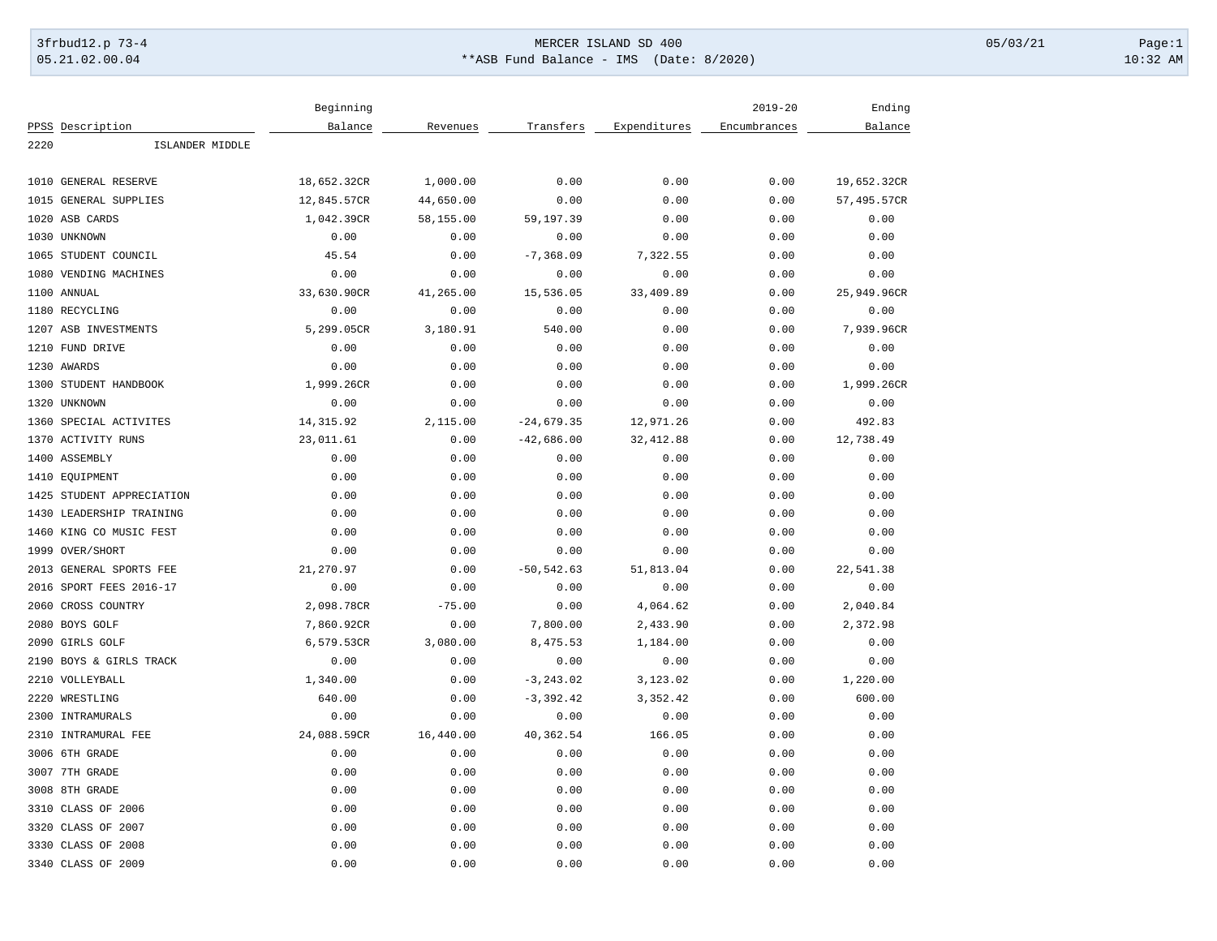## 3frbud12.p 73-4 Page:1 Page:1 05.21.02.00.04 \*\*ASB Fund Balance - IMS (Date: 8/2020) 10:32 AM

| Balance<br>Expenditures<br>Balance<br>PPSS Description<br>Revenues<br>Transfers<br>Encumbrances<br>2220<br>ISLANDER MIDDLE<br>1,000.00<br>0.00<br>1010<br>GENERAL RESERVE<br>18,652.32CR<br>0.00<br>0.00<br>19,652.32CR<br><b>GENERAL SUPPLIES</b><br>12,845.57CR<br>44,650.00<br>0.00<br>0.00<br>0.00<br>57,495.57CR<br>1015<br>1020<br>ASB CARDS<br>1,042.39CR<br>58,155.00<br>59, 197.39<br>0.00<br>0.00<br>0.00<br>0.00<br>0.00<br>0.00<br>1030 UNKNOWN<br>0.00<br>0.00<br>0.00<br>45.54<br>0.00<br>$-7, 368.09$<br>7,322.55<br>0.00<br>0.00<br>1065<br>STUDENT COUNCIL<br>1080<br>VENDING MACHINES<br>0.00<br>0.00<br>0.00<br>0.00<br>0.00<br>0.00<br>1100<br>ANNUAL<br>33,630.90CR<br>41,265.00<br>15,536.05<br>33,409.89<br>0.00<br>25,949.96CR<br>0.00<br>0.00<br>0.00<br>0.00<br>0.00<br>1180 RECYCLING<br>0.00<br>1207 ASB INVESTMENTS<br>5,299.05CR<br>3,180.91<br>540.00<br>0.00<br>0.00<br>7,939.96CR<br>0.00<br>1210 FUND DRIVE<br>0.00<br>0.00<br>0.00<br>0.00<br>0.00<br>0.00<br>0.00<br>0.00<br>0.00<br>0.00<br>0.00<br>1230 AWARDS<br>STUDENT HANDBOOK<br>1,999.26CR<br>0.00<br>0.00<br>0.00<br>1,999.26CR<br>1300<br>0.00<br>0.00<br>1320<br>UNKNOWN<br>0.00<br>0.00<br>0.00<br>0.00<br>0.00<br>1360<br>SPECIAL ACTIVITES<br>14, 315.92<br>2,115.00<br>$-24,679.35$<br>12,971.26<br>0.00<br>492.83<br><b>ACTIVITY RUNS</b><br>23,011.61<br>0.00<br>$-42,686.00$<br>32, 412.88<br>12,738.49<br>1370<br>0.00<br>1400 ASSEMBLY<br>0.00<br>0.00<br>0.00<br>0.00<br>0.00<br>0.00<br>0.00<br>0.00<br>0.00<br>0.00<br>0.00<br>0.00<br>1410<br>EQUIPMENT<br>STUDENT APPRECIATION<br>0.00<br>0.00<br>0.00<br>0.00<br>0.00<br>0.00<br>1425<br>0.00<br>0.00<br>LEADERSHIP TRAINING<br>0.00<br>0.00<br>0.00<br>0.00<br>1430<br>1460<br>KING CO MUSIC FEST<br>0.00<br>0.00<br>0.00<br>0.00<br>0.00<br>0.00<br>1999<br>OVER/SHORT<br>0.00<br>0.00<br>0.00<br>0.00<br>0.00<br>0.00<br>21,270.97<br>0.00<br>$-50, 542.63$<br>51,813.04<br>0.00<br>22,541.38<br>2013<br>GENERAL SPORTS FEE<br>0.00<br>2016<br>SPORT FEES 2016-17<br>0.00<br>0.00<br>0.00<br>0.00<br>0.00<br>CROSS COUNTRY<br>2,098.78CR<br>$-75.00$<br>0.00<br>4,064.62<br>0.00<br>2,040.84<br>2060<br>2080 BOYS GOLF<br>7,860.92CR<br>0.00<br>7,800.00<br>2,433.90<br>0.00<br>2,372.98<br>3,080.00<br>0.00<br>2090<br>GIRLS GOLF<br>6,579.53CR<br>8,475.53<br>1,184.00<br>0.00<br>0.00<br>0.00<br>0.00<br>0.00<br>2190<br>BOYS & GIRLS TRACK<br>0.00<br>0.00<br>2210<br>VOLLEYBALL<br>1,340.00<br>0.00<br>$-3, 243.02$<br>3,123.02<br>0.00<br>1,220.00<br>WRESTLING<br>640.00<br>0.00<br>$-3, 392.42$<br>3,352.42<br>0.00<br>600.00<br>2220<br>2300<br>INTRAMURALS<br>0.00<br>0.00<br>0.00<br>0.00<br>0.00<br>0.00<br>2310<br>INTRAMURAL FEE<br>24,088.59CR<br>16,440.00<br>40,362.54<br>166.05<br>0.00<br>0.00<br>0.00<br>3006<br>6TH GRADE<br>0.00<br>0.00<br>0.00<br>0.00<br>0.00<br>3007 7TH GRADE<br>0.00<br>0.00<br>0.00<br>0.00<br>0.00<br>0.00<br>8TH GRADE<br>0.00<br>0.00<br>0.00<br>0.00<br>0.00<br>0.00<br>3008<br>3310<br>CLASS OF 2006<br>0.00<br>0.00<br>0.00<br>0.00<br>0.00<br>0.00<br>3320<br>CLASS OF 2007<br>0.00<br>0.00<br>0.00<br>0.00<br>0.00<br>0.00 |      |               | Beginning |      |      |      | $2019 - 20$ | Ending |
|--------------------------------------------------------------------------------------------------------------------------------------------------------------------------------------------------------------------------------------------------------------------------------------------------------------------------------------------------------------------------------------------------------------------------------------------------------------------------------------------------------------------------------------------------------------------------------------------------------------------------------------------------------------------------------------------------------------------------------------------------------------------------------------------------------------------------------------------------------------------------------------------------------------------------------------------------------------------------------------------------------------------------------------------------------------------------------------------------------------------------------------------------------------------------------------------------------------------------------------------------------------------------------------------------------------------------------------------------------------------------------------------------------------------------------------------------------------------------------------------------------------------------------------------------------------------------------------------------------------------------------------------------------------------------------------------------------------------------------------------------------------------------------------------------------------------------------------------------------------------------------------------------------------------------------------------------------------------------------------------------------------------------------------------------------------------------------------------------------------------------------------------------------------------------------------------------------------------------------------------------------------------------------------------------------------------------------------------------------------------------------------------------------------------------------------------------------------------------------------------------------------------------------------------------------------------------------------------------------------------------------------------------------------------------------------------------------------------------------------------------------------------------------------------------------------------------------------------------------------------------------------------------------------------------------------------------------------------------------------------------------------------------------------------------------------------------------------------------------------------------------------------------|------|---------------|-----------|------|------|------|-------------|--------|
|                                                                                                                                                                                                                                                                                                                                                                                                                                                                                                                                                                                                                                                                                                                                                                                                                                                                                                                                                                                                                                                                                                                                                                                                                                                                                                                                                                                                                                                                                                                                                                                                                                                                                                                                                                                                                                                                                                                                                                                                                                                                                                                                                                                                                                                                                                                                                                                                                                                                                                                                                                                                                                                                                                                                                                                                                                                                                                                                                                                                                                                                                                                                                  |      |               |           |      |      |      |             |        |
|                                                                                                                                                                                                                                                                                                                                                                                                                                                                                                                                                                                                                                                                                                                                                                                                                                                                                                                                                                                                                                                                                                                                                                                                                                                                                                                                                                                                                                                                                                                                                                                                                                                                                                                                                                                                                                                                                                                                                                                                                                                                                                                                                                                                                                                                                                                                                                                                                                                                                                                                                                                                                                                                                                                                                                                                                                                                                                                                                                                                                                                                                                                                                  |      |               |           |      |      |      |             |        |
|                                                                                                                                                                                                                                                                                                                                                                                                                                                                                                                                                                                                                                                                                                                                                                                                                                                                                                                                                                                                                                                                                                                                                                                                                                                                                                                                                                                                                                                                                                                                                                                                                                                                                                                                                                                                                                                                                                                                                                                                                                                                                                                                                                                                                                                                                                                                                                                                                                                                                                                                                                                                                                                                                                                                                                                                                                                                                                                                                                                                                                                                                                                                                  |      |               |           |      |      |      |             |        |
|                                                                                                                                                                                                                                                                                                                                                                                                                                                                                                                                                                                                                                                                                                                                                                                                                                                                                                                                                                                                                                                                                                                                                                                                                                                                                                                                                                                                                                                                                                                                                                                                                                                                                                                                                                                                                                                                                                                                                                                                                                                                                                                                                                                                                                                                                                                                                                                                                                                                                                                                                                                                                                                                                                                                                                                                                                                                                                                                                                                                                                                                                                                                                  |      |               |           |      |      |      |             |        |
|                                                                                                                                                                                                                                                                                                                                                                                                                                                                                                                                                                                                                                                                                                                                                                                                                                                                                                                                                                                                                                                                                                                                                                                                                                                                                                                                                                                                                                                                                                                                                                                                                                                                                                                                                                                                                                                                                                                                                                                                                                                                                                                                                                                                                                                                                                                                                                                                                                                                                                                                                                                                                                                                                                                                                                                                                                                                                                                                                                                                                                                                                                                                                  |      |               |           |      |      |      |             |        |
|                                                                                                                                                                                                                                                                                                                                                                                                                                                                                                                                                                                                                                                                                                                                                                                                                                                                                                                                                                                                                                                                                                                                                                                                                                                                                                                                                                                                                                                                                                                                                                                                                                                                                                                                                                                                                                                                                                                                                                                                                                                                                                                                                                                                                                                                                                                                                                                                                                                                                                                                                                                                                                                                                                                                                                                                                                                                                                                                                                                                                                                                                                                                                  |      |               |           |      |      |      |             |        |
|                                                                                                                                                                                                                                                                                                                                                                                                                                                                                                                                                                                                                                                                                                                                                                                                                                                                                                                                                                                                                                                                                                                                                                                                                                                                                                                                                                                                                                                                                                                                                                                                                                                                                                                                                                                                                                                                                                                                                                                                                                                                                                                                                                                                                                                                                                                                                                                                                                                                                                                                                                                                                                                                                                                                                                                                                                                                                                                                                                                                                                                                                                                                                  |      |               |           |      |      |      |             |        |
|                                                                                                                                                                                                                                                                                                                                                                                                                                                                                                                                                                                                                                                                                                                                                                                                                                                                                                                                                                                                                                                                                                                                                                                                                                                                                                                                                                                                                                                                                                                                                                                                                                                                                                                                                                                                                                                                                                                                                                                                                                                                                                                                                                                                                                                                                                                                                                                                                                                                                                                                                                                                                                                                                                                                                                                                                                                                                                                                                                                                                                                                                                                                                  |      |               |           |      |      |      |             |        |
|                                                                                                                                                                                                                                                                                                                                                                                                                                                                                                                                                                                                                                                                                                                                                                                                                                                                                                                                                                                                                                                                                                                                                                                                                                                                                                                                                                                                                                                                                                                                                                                                                                                                                                                                                                                                                                                                                                                                                                                                                                                                                                                                                                                                                                                                                                                                                                                                                                                                                                                                                                                                                                                                                                                                                                                                                                                                                                                                                                                                                                                                                                                                                  |      |               |           |      |      |      |             |        |
|                                                                                                                                                                                                                                                                                                                                                                                                                                                                                                                                                                                                                                                                                                                                                                                                                                                                                                                                                                                                                                                                                                                                                                                                                                                                                                                                                                                                                                                                                                                                                                                                                                                                                                                                                                                                                                                                                                                                                                                                                                                                                                                                                                                                                                                                                                                                                                                                                                                                                                                                                                                                                                                                                                                                                                                                                                                                                                                                                                                                                                                                                                                                                  |      |               |           |      |      |      |             |        |
|                                                                                                                                                                                                                                                                                                                                                                                                                                                                                                                                                                                                                                                                                                                                                                                                                                                                                                                                                                                                                                                                                                                                                                                                                                                                                                                                                                                                                                                                                                                                                                                                                                                                                                                                                                                                                                                                                                                                                                                                                                                                                                                                                                                                                                                                                                                                                                                                                                                                                                                                                                                                                                                                                                                                                                                                                                                                                                                                                                                                                                                                                                                                                  |      |               |           |      |      |      |             |        |
|                                                                                                                                                                                                                                                                                                                                                                                                                                                                                                                                                                                                                                                                                                                                                                                                                                                                                                                                                                                                                                                                                                                                                                                                                                                                                                                                                                                                                                                                                                                                                                                                                                                                                                                                                                                                                                                                                                                                                                                                                                                                                                                                                                                                                                                                                                                                                                                                                                                                                                                                                                                                                                                                                                                                                                                                                                                                                                                                                                                                                                                                                                                                                  |      |               |           |      |      |      |             |        |
|                                                                                                                                                                                                                                                                                                                                                                                                                                                                                                                                                                                                                                                                                                                                                                                                                                                                                                                                                                                                                                                                                                                                                                                                                                                                                                                                                                                                                                                                                                                                                                                                                                                                                                                                                                                                                                                                                                                                                                                                                                                                                                                                                                                                                                                                                                                                                                                                                                                                                                                                                                                                                                                                                                                                                                                                                                                                                                                                                                                                                                                                                                                                                  |      |               |           |      |      |      |             |        |
|                                                                                                                                                                                                                                                                                                                                                                                                                                                                                                                                                                                                                                                                                                                                                                                                                                                                                                                                                                                                                                                                                                                                                                                                                                                                                                                                                                                                                                                                                                                                                                                                                                                                                                                                                                                                                                                                                                                                                                                                                                                                                                                                                                                                                                                                                                                                                                                                                                                                                                                                                                                                                                                                                                                                                                                                                                                                                                                                                                                                                                                                                                                                                  |      |               |           |      |      |      |             |        |
|                                                                                                                                                                                                                                                                                                                                                                                                                                                                                                                                                                                                                                                                                                                                                                                                                                                                                                                                                                                                                                                                                                                                                                                                                                                                                                                                                                                                                                                                                                                                                                                                                                                                                                                                                                                                                                                                                                                                                                                                                                                                                                                                                                                                                                                                                                                                                                                                                                                                                                                                                                                                                                                                                                                                                                                                                                                                                                                                                                                                                                                                                                                                                  |      |               |           |      |      |      |             |        |
|                                                                                                                                                                                                                                                                                                                                                                                                                                                                                                                                                                                                                                                                                                                                                                                                                                                                                                                                                                                                                                                                                                                                                                                                                                                                                                                                                                                                                                                                                                                                                                                                                                                                                                                                                                                                                                                                                                                                                                                                                                                                                                                                                                                                                                                                                                                                                                                                                                                                                                                                                                                                                                                                                                                                                                                                                                                                                                                                                                                                                                                                                                                                                  |      |               |           |      |      |      |             |        |
|                                                                                                                                                                                                                                                                                                                                                                                                                                                                                                                                                                                                                                                                                                                                                                                                                                                                                                                                                                                                                                                                                                                                                                                                                                                                                                                                                                                                                                                                                                                                                                                                                                                                                                                                                                                                                                                                                                                                                                                                                                                                                                                                                                                                                                                                                                                                                                                                                                                                                                                                                                                                                                                                                                                                                                                                                                                                                                                                                                                                                                                                                                                                                  |      |               |           |      |      |      |             |        |
|                                                                                                                                                                                                                                                                                                                                                                                                                                                                                                                                                                                                                                                                                                                                                                                                                                                                                                                                                                                                                                                                                                                                                                                                                                                                                                                                                                                                                                                                                                                                                                                                                                                                                                                                                                                                                                                                                                                                                                                                                                                                                                                                                                                                                                                                                                                                                                                                                                                                                                                                                                                                                                                                                                                                                                                                                                                                                                                                                                                                                                                                                                                                                  |      |               |           |      |      |      |             |        |
|                                                                                                                                                                                                                                                                                                                                                                                                                                                                                                                                                                                                                                                                                                                                                                                                                                                                                                                                                                                                                                                                                                                                                                                                                                                                                                                                                                                                                                                                                                                                                                                                                                                                                                                                                                                                                                                                                                                                                                                                                                                                                                                                                                                                                                                                                                                                                                                                                                                                                                                                                                                                                                                                                                                                                                                                                                                                                                                                                                                                                                                                                                                                                  |      |               |           |      |      |      |             |        |
|                                                                                                                                                                                                                                                                                                                                                                                                                                                                                                                                                                                                                                                                                                                                                                                                                                                                                                                                                                                                                                                                                                                                                                                                                                                                                                                                                                                                                                                                                                                                                                                                                                                                                                                                                                                                                                                                                                                                                                                                                                                                                                                                                                                                                                                                                                                                                                                                                                                                                                                                                                                                                                                                                                                                                                                                                                                                                                                                                                                                                                                                                                                                                  |      |               |           |      |      |      |             |        |
|                                                                                                                                                                                                                                                                                                                                                                                                                                                                                                                                                                                                                                                                                                                                                                                                                                                                                                                                                                                                                                                                                                                                                                                                                                                                                                                                                                                                                                                                                                                                                                                                                                                                                                                                                                                                                                                                                                                                                                                                                                                                                                                                                                                                                                                                                                                                                                                                                                                                                                                                                                                                                                                                                                                                                                                                                                                                                                                                                                                                                                                                                                                                                  |      |               |           |      |      |      |             |        |
|                                                                                                                                                                                                                                                                                                                                                                                                                                                                                                                                                                                                                                                                                                                                                                                                                                                                                                                                                                                                                                                                                                                                                                                                                                                                                                                                                                                                                                                                                                                                                                                                                                                                                                                                                                                                                                                                                                                                                                                                                                                                                                                                                                                                                                                                                                                                                                                                                                                                                                                                                                                                                                                                                                                                                                                                                                                                                                                                                                                                                                                                                                                                                  |      |               |           |      |      |      |             |        |
|                                                                                                                                                                                                                                                                                                                                                                                                                                                                                                                                                                                                                                                                                                                                                                                                                                                                                                                                                                                                                                                                                                                                                                                                                                                                                                                                                                                                                                                                                                                                                                                                                                                                                                                                                                                                                                                                                                                                                                                                                                                                                                                                                                                                                                                                                                                                                                                                                                                                                                                                                                                                                                                                                                                                                                                                                                                                                                                                                                                                                                                                                                                                                  |      |               |           |      |      |      |             |        |
|                                                                                                                                                                                                                                                                                                                                                                                                                                                                                                                                                                                                                                                                                                                                                                                                                                                                                                                                                                                                                                                                                                                                                                                                                                                                                                                                                                                                                                                                                                                                                                                                                                                                                                                                                                                                                                                                                                                                                                                                                                                                                                                                                                                                                                                                                                                                                                                                                                                                                                                                                                                                                                                                                                                                                                                                                                                                                                                                                                                                                                                                                                                                                  |      |               |           |      |      |      |             |        |
|                                                                                                                                                                                                                                                                                                                                                                                                                                                                                                                                                                                                                                                                                                                                                                                                                                                                                                                                                                                                                                                                                                                                                                                                                                                                                                                                                                                                                                                                                                                                                                                                                                                                                                                                                                                                                                                                                                                                                                                                                                                                                                                                                                                                                                                                                                                                                                                                                                                                                                                                                                                                                                                                                                                                                                                                                                                                                                                                                                                                                                                                                                                                                  |      |               |           |      |      |      |             |        |
|                                                                                                                                                                                                                                                                                                                                                                                                                                                                                                                                                                                                                                                                                                                                                                                                                                                                                                                                                                                                                                                                                                                                                                                                                                                                                                                                                                                                                                                                                                                                                                                                                                                                                                                                                                                                                                                                                                                                                                                                                                                                                                                                                                                                                                                                                                                                                                                                                                                                                                                                                                                                                                                                                                                                                                                                                                                                                                                                                                                                                                                                                                                                                  |      |               |           |      |      |      |             |        |
|                                                                                                                                                                                                                                                                                                                                                                                                                                                                                                                                                                                                                                                                                                                                                                                                                                                                                                                                                                                                                                                                                                                                                                                                                                                                                                                                                                                                                                                                                                                                                                                                                                                                                                                                                                                                                                                                                                                                                                                                                                                                                                                                                                                                                                                                                                                                                                                                                                                                                                                                                                                                                                                                                                                                                                                                                                                                                                                                                                                                                                                                                                                                                  |      |               |           |      |      |      |             |        |
|                                                                                                                                                                                                                                                                                                                                                                                                                                                                                                                                                                                                                                                                                                                                                                                                                                                                                                                                                                                                                                                                                                                                                                                                                                                                                                                                                                                                                                                                                                                                                                                                                                                                                                                                                                                                                                                                                                                                                                                                                                                                                                                                                                                                                                                                                                                                                                                                                                                                                                                                                                                                                                                                                                                                                                                                                                                                                                                                                                                                                                                                                                                                                  |      |               |           |      |      |      |             |        |
|                                                                                                                                                                                                                                                                                                                                                                                                                                                                                                                                                                                                                                                                                                                                                                                                                                                                                                                                                                                                                                                                                                                                                                                                                                                                                                                                                                                                                                                                                                                                                                                                                                                                                                                                                                                                                                                                                                                                                                                                                                                                                                                                                                                                                                                                                                                                                                                                                                                                                                                                                                                                                                                                                                                                                                                                                                                                                                                                                                                                                                                                                                                                                  |      |               |           |      |      |      |             |        |
|                                                                                                                                                                                                                                                                                                                                                                                                                                                                                                                                                                                                                                                                                                                                                                                                                                                                                                                                                                                                                                                                                                                                                                                                                                                                                                                                                                                                                                                                                                                                                                                                                                                                                                                                                                                                                                                                                                                                                                                                                                                                                                                                                                                                                                                                                                                                                                                                                                                                                                                                                                                                                                                                                                                                                                                                                                                                                                                                                                                                                                                                                                                                                  |      |               |           |      |      |      |             |        |
|                                                                                                                                                                                                                                                                                                                                                                                                                                                                                                                                                                                                                                                                                                                                                                                                                                                                                                                                                                                                                                                                                                                                                                                                                                                                                                                                                                                                                                                                                                                                                                                                                                                                                                                                                                                                                                                                                                                                                                                                                                                                                                                                                                                                                                                                                                                                                                                                                                                                                                                                                                                                                                                                                                                                                                                                                                                                                                                                                                                                                                                                                                                                                  |      |               |           |      |      |      |             |        |
|                                                                                                                                                                                                                                                                                                                                                                                                                                                                                                                                                                                                                                                                                                                                                                                                                                                                                                                                                                                                                                                                                                                                                                                                                                                                                                                                                                                                                                                                                                                                                                                                                                                                                                                                                                                                                                                                                                                                                                                                                                                                                                                                                                                                                                                                                                                                                                                                                                                                                                                                                                                                                                                                                                                                                                                                                                                                                                                                                                                                                                                                                                                                                  |      |               |           |      |      |      |             |        |
|                                                                                                                                                                                                                                                                                                                                                                                                                                                                                                                                                                                                                                                                                                                                                                                                                                                                                                                                                                                                                                                                                                                                                                                                                                                                                                                                                                                                                                                                                                                                                                                                                                                                                                                                                                                                                                                                                                                                                                                                                                                                                                                                                                                                                                                                                                                                                                                                                                                                                                                                                                                                                                                                                                                                                                                                                                                                                                                                                                                                                                                                                                                                                  |      |               |           |      |      |      |             |        |
|                                                                                                                                                                                                                                                                                                                                                                                                                                                                                                                                                                                                                                                                                                                                                                                                                                                                                                                                                                                                                                                                                                                                                                                                                                                                                                                                                                                                                                                                                                                                                                                                                                                                                                                                                                                                                                                                                                                                                                                                                                                                                                                                                                                                                                                                                                                                                                                                                                                                                                                                                                                                                                                                                                                                                                                                                                                                                                                                                                                                                                                                                                                                                  |      |               |           |      |      |      |             |        |
|                                                                                                                                                                                                                                                                                                                                                                                                                                                                                                                                                                                                                                                                                                                                                                                                                                                                                                                                                                                                                                                                                                                                                                                                                                                                                                                                                                                                                                                                                                                                                                                                                                                                                                                                                                                                                                                                                                                                                                                                                                                                                                                                                                                                                                                                                                                                                                                                                                                                                                                                                                                                                                                                                                                                                                                                                                                                                                                                                                                                                                                                                                                                                  |      |               |           |      |      |      |             |        |
|                                                                                                                                                                                                                                                                                                                                                                                                                                                                                                                                                                                                                                                                                                                                                                                                                                                                                                                                                                                                                                                                                                                                                                                                                                                                                                                                                                                                                                                                                                                                                                                                                                                                                                                                                                                                                                                                                                                                                                                                                                                                                                                                                                                                                                                                                                                                                                                                                                                                                                                                                                                                                                                                                                                                                                                                                                                                                                                                                                                                                                                                                                                                                  |      |               |           |      |      |      |             |        |
|                                                                                                                                                                                                                                                                                                                                                                                                                                                                                                                                                                                                                                                                                                                                                                                                                                                                                                                                                                                                                                                                                                                                                                                                                                                                                                                                                                                                                                                                                                                                                                                                                                                                                                                                                                                                                                                                                                                                                                                                                                                                                                                                                                                                                                                                                                                                                                                                                                                                                                                                                                                                                                                                                                                                                                                                                                                                                                                                                                                                                                                                                                                                                  |      |               |           |      |      |      |             |        |
|                                                                                                                                                                                                                                                                                                                                                                                                                                                                                                                                                                                                                                                                                                                                                                                                                                                                                                                                                                                                                                                                                                                                                                                                                                                                                                                                                                                                                                                                                                                                                                                                                                                                                                                                                                                                                                                                                                                                                                                                                                                                                                                                                                                                                                                                                                                                                                                                                                                                                                                                                                                                                                                                                                                                                                                                                                                                                                                                                                                                                                                                                                                                                  |      |               |           |      |      |      |             |        |
|                                                                                                                                                                                                                                                                                                                                                                                                                                                                                                                                                                                                                                                                                                                                                                                                                                                                                                                                                                                                                                                                                                                                                                                                                                                                                                                                                                                                                                                                                                                                                                                                                                                                                                                                                                                                                                                                                                                                                                                                                                                                                                                                                                                                                                                                                                                                                                                                                                                                                                                                                                                                                                                                                                                                                                                                                                                                                                                                                                                                                                                                                                                                                  |      |               |           |      |      |      |             |        |
|                                                                                                                                                                                                                                                                                                                                                                                                                                                                                                                                                                                                                                                                                                                                                                                                                                                                                                                                                                                                                                                                                                                                                                                                                                                                                                                                                                                                                                                                                                                                                                                                                                                                                                                                                                                                                                                                                                                                                                                                                                                                                                                                                                                                                                                                                                                                                                                                                                                                                                                                                                                                                                                                                                                                                                                                                                                                                                                                                                                                                                                                                                                                                  | 3330 | CLASS OF 2008 | 0.00      | 0.00 | 0.00 | 0.00 | 0.00        | 0.00   |
| 3340 CLASS OF 2009<br>0.00<br>0.00<br>0.00<br>0.00<br>0.00<br>0.00                                                                                                                                                                                                                                                                                                                                                                                                                                                                                                                                                                                                                                                                                                                                                                                                                                                                                                                                                                                                                                                                                                                                                                                                                                                                                                                                                                                                                                                                                                                                                                                                                                                                                                                                                                                                                                                                                                                                                                                                                                                                                                                                                                                                                                                                                                                                                                                                                                                                                                                                                                                                                                                                                                                                                                                                                                                                                                                                                                                                                                                                               |      |               |           |      |      |      |             |        |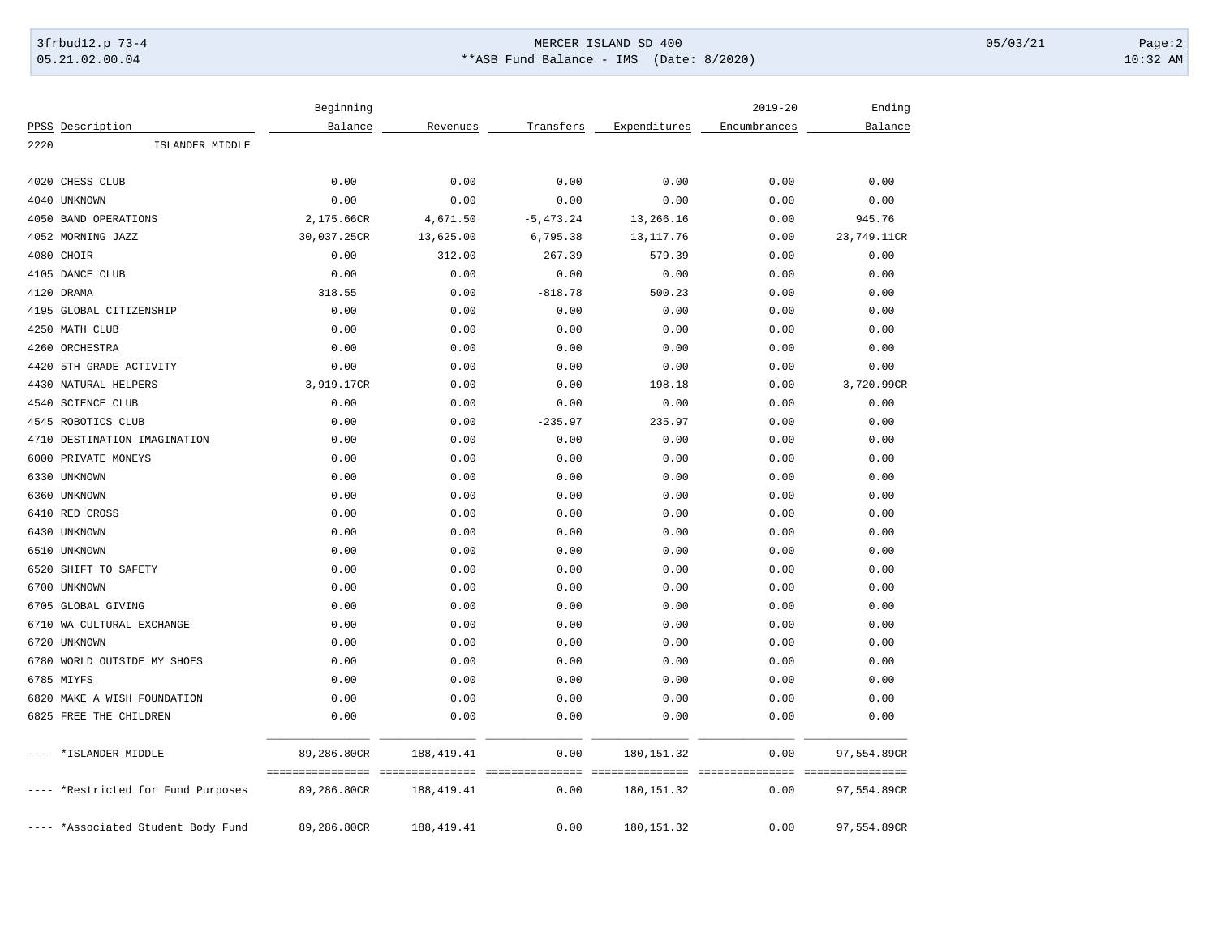## 3frbud12.p 73-4 Page:2 05.21.02.00.04 \*\*ASB Fund Balance - IMS (Date: 8/2020) 10:32 AM

|           |                                    | Beginning                                         |              |                           |              | $2019 - 20$  | Ending      |
|-----------|------------------------------------|---------------------------------------------------|--------------|---------------------------|--------------|--------------|-------------|
|           | PPSS Description                   | Balance                                           | Revenues     | Transfers                 | Expenditures | Encumbrances | Balance     |
| 2220      | ISLANDER MIDDLE                    |                                                   |              |                           |              |              |             |
| 4020      | CHESS CLUB                         | 0.00                                              | 0.00         | 0.00                      | 0.00         | 0.00         | 0.00        |
|           | 4040 UNKNOWN                       | 0.00                                              | 0.00         | 0.00                      | 0.00         | 0.00         | 0.00        |
|           | 4050 BAND OPERATIONS               | 2,175.66CR                                        | 4,671.50     | $-5, 473.24$              | 13,266.16    | 0.00         | 945.76      |
|           | 4052 MORNING JAZZ                  | 30,037.25CR                                       | 13,625.00    | 6,795.38                  | 13, 117.76   | 0.00         | 23,749.11CR |
|           | 4080 CHOIR                         | 0.00                                              | 312.00       | $-267.39$                 | 579.39       | 0.00         | 0.00        |
|           | 4105 DANCE CLUB                    | 0.00                                              | 0.00         | 0.00                      | 0.00         | 0.00         | 0.00        |
|           | 4120 DRAMA                         | 318.55                                            | 0.00         | $-818.78$                 | 500.23       | 0.00         | 0.00        |
|           | 4195 GLOBAL CITIZENSHIP            | 0.00                                              | 0.00         | 0.00                      | 0.00         | 0.00         | 0.00        |
|           | 4250 MATH CLUB                     | 0.00                                              | 0.00         | 0.00                      | 0.00         | 0.00         | 0.00        |
|           | 4260 ORCHESTRA                     | 0.00                                              | 0.00         | 0.00                      | 0.00         | 0.00         | 0.00        |
| 4420      | 5TH GRADE ACTIVITY                 | 0.00                                              | 0.00         | 0.00                      | 0.00         | 0.00         | 0.00        |
|           | 4430 NATURAL HELPERS               | 3,919.17CR                                        | 0.00         | 0.00                      | 198.18       | 0.00         | 3,720.99CR  |
| 4540      | <b>SCIENCE CLUB</b>                | 0.00                                              | 0.00         | 0.00                      | 0.00         | 0.00         | 0.00        |
|           | 4545 ROBOTICS CLUB                 | 0.00                                              | 0.00         | $-235.97$                 | 235.97       | 0.00         | 0.00        |
| 4710      | DESTINATION IMAGINATION            | 0.00                                              | 0.00         | 0.00                      | 0.00         | 0.00         | 0.00        |
| 6000      | PRIVATE MONEYS                     | 0.00                                              | 0.00         | 0.00                      | 0.00         | 0.00         | 0.00        |
|           | 6330 UNKNOWN                       | 0.00                                              | 0.00         | 0.00                      | 0.00         | 0.00         | 0.00        |
|           | 6360 UNKNOWN                       | 0.00                                              | 0.00         | 0.00                      | 0.00         | 0.00         | 0.00        |
|           | 6410 RED CROSS                     | 0.00                                              | 0.00         | 0.00                      | 0.00         | 0.00         | 0.00        |
|           | 6430 UNKNOWN                       | 0.00                                              | 0.00         | 0.00                      | 0.00         | 0.00         | 0.00        |
|           | 6510 UNKNOWN                       | 0.00                                              | 0.00         | 0.00                      | 0.00         | 0.00         | 0.00        |
| 6520      | SHIFT TO SAFETY                    | 0.00                                              | 0.00         | 0.00                      | 0.00         | 0.00         | 0.00        |
|           | 6700 UNKNOWN                       | 0.00                                              | 0.00         | 0.00                      | 0.00         | 0.00         | 0.00        |
|           | 6705 GLOBAL GIVING                 | 0.00                                              | 0.00         | 0.00                      | 0.00         | 0.00         | 0.00        |
|           | 6710 WA CULTURAL EXCHANGE          | 0.00                                              | 0.00         | 0.00                      | 0.00         | 0.00         | 0.00        |
| 6720      | UNKNOWN                            | 0.00                                              | 0.00         | 0.00                      | 0.00         | 0.00         | 0.00        |
|           | 6780 WORLD OUTSIDE MY SHOES        | 0.00                                              | 0.00         | 0.00                      | 0.00         | 0.00         | 0.00        |
|           | 6785 MIYFS                         | 0.00                                              | 0.00         | 0.00                      | 0.00         | 0.00         | 0.00        |
|           | 6820 MAKE A WISH FOUNDATION        | 0.00                                              | 0.00         | 0.00                      | 0.00         | 0.00         | 0.00        |
|           | 6825 FREE THE CHILDREN             | 0.00                                              | 0.00         | 0.00                      | 0.00         | 0.00         | 0.00        |
| $--- - -$ | *ISLANDER MIDDLE                   | 89,286.80CR                                       | 188,419.41   | 0.00                      | 180, 151.32  | 0.00         | 97,554.89CR |
|           | *Restricted for Fund Purposes      | ==================================<br>89,286.80CR | 188,419.41   | - ===============<br>0.00 | 180, 151.32  | 0.00         | 97,554.89CR |
|           | ---- *Associated Student Body Fund | 89,286.80CR                                       | 188, 419. 41 | 0.00                      | 180, 151.32  | 0.00         | 97,554.89CR |